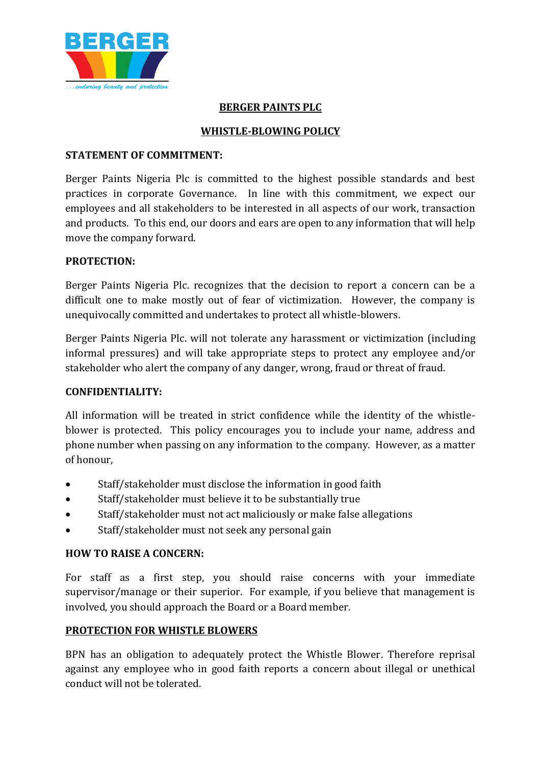

### **BERGER PAINTS PLC**

# **WHISTLE-BLOWING POLICY**

#### **STATEMENT OF COMMITMENT:**

Berger Paints Nigeria Plc is committed to the highest possible standards and best practices in corporate Governance. In line with this commitment, we expect our employees and all stakeholders to be interested in all aspects of our work, transaction and products. To this end, our doors and ears are open to any information that will help move the company forward.

### **PROTECTION:**

Berger Paints Nigeria Plc. recognizes that the decision to report a concern can be a difficult one to make mostly out of fear of victimization. However, the company is unequivocally committed and undertakes to protect all whistle-blowers.

Berger Paints Nigeria Plc. will not tolerate any harassment or victimization (including informal pressures) and will take appropriate steps to protect any employee and/or stakeholder who alert the company of any danger, wrong, fraud or threat of fraud.

## **CONFIDENTIALITY:**

All information will be treated in strict confidence while the identity of the whistleblower is protected. This policy encourages you to include your name, address and phone number when passing on any information to the company. However, as a matter of honour,

- Staff/stakeholder must disclose the information in good faith
- Staff/stakeholder must believe it to be substantially true
- Staff/stakeholder must not act maliciously or make false allegations
- Staff/stakeholder must not seek any personal gain

## **HOW TO RAISE A CONCERN:**

For staff as a first step, you should raise concerns with your immediate supervisor/manage or their superior. For example, if you believe that management is involved, you should approach the Board or a Board member.

## **PROTECTION FOR WHISTLE BLOWERS**

BPN has an obligation to adequately protect the Whistle Blower. Therefore reprisal against any employee who in good faith reports a concern about illegal or unethical conduct will not be tolerated.